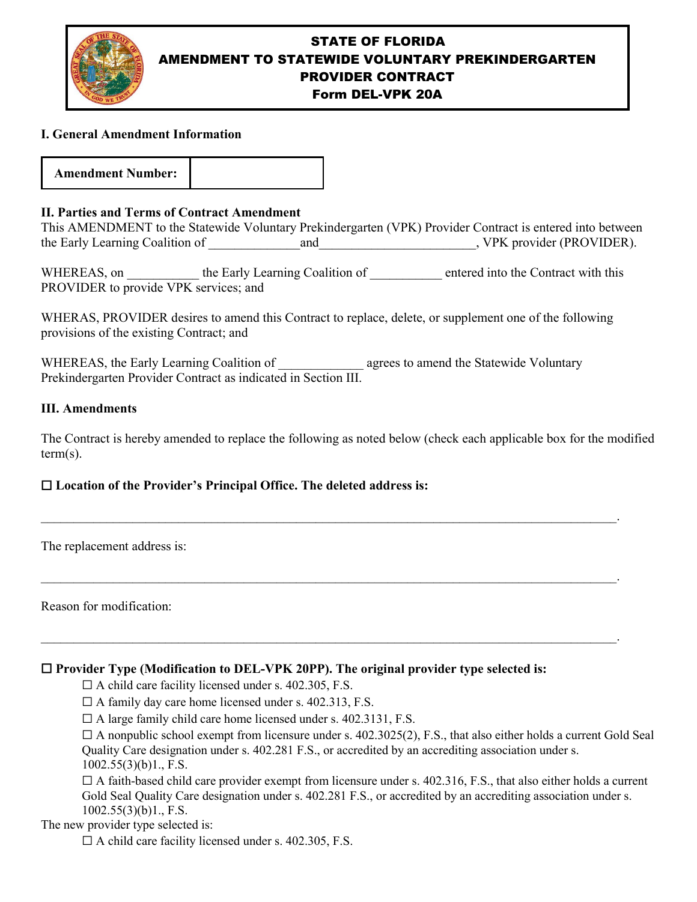

# STATE OF FLORIDA AMENDMENT TO STATEWIDE VOLUNTARY PREKINDERGARTEN PROVIDER CONTRACT Form DEL-VPK 20A

### **I. General Amendment Information**

**Amendment Number:**

### **II. Parties and Terms of Contract Amendment**

This AMENDMENT to the Statewide Voluntary Prekindergarten (VPK) Provider Contract is entered into between the Early Learning Coalition of \_\_\_\_\_\_\_\_\_\_\_\_\_\_and\_\_\_\_\_\_\_\_\_\_\_\_\_\_\_\_\_\_\_\_\_\_\_\_, VPK provider (PROVIDER).

WHEREAS, on the Early Learning Coalition of the contract with this PROVIDER to provide VPK services; and

WHERAS, PROVIDER desires to amend this Contract to replace, delete, or supplement one of the following provisions of the existing Contract; and

WHEREAS, the Early Learning Coalition of **Early 2** agrees to amend the Statewide Voluntary Prekindergarten Provider Contract as indicated in Section III.

### **III. Amendments**

The Contract is hereby amended to replace the following as noted below (check each applicable box for the modified term(s).

\_\_\_\_\_\_\_\_\_\_\_\_\_\_\_\_\_\_\_\_\_\_\_\_\_\_\_\_\_\_\_\_\_\_\_\_\_\_\_\_\_\_\_\_\_\_\_\_\_\_\_\_\_\_\_\_\_\_\_\_\_\_\_\_\_\_\_\_\_\_\_\_\_\_\_\_\_\_\_\_\_\_\_\_\_\_\_\_.

\_\_\_\_\_\_\_\_\_\_\_\_\_\_\_\_\_\_\_\_\_\_\_\_\_\_\_\_\_\_\_\_\_\_\_\_\_\_\_\_\_\_\_\_\_\_\_\_\_\_\_\_\_\_\_\_\_\_\_\_\_\_\_\_\_\_\_\_\_\_\_\_\_\_\_\_\_\_\_\_\_\_\_\_\_\_\_\_.

\_\_\_\_\_\_\_\_\_\_\_\_\_\_\_\_\_\_\_\_\_\_\_\_\_\_\_\_\_\_\_\_\_\_\_\_\_\_\_\_\_\_\_\_\_\_\_\_\_\_\_\_\_\_\_\_\_\_\_\_\_\_\_\_\_\_\_\_\_\_\_\_\_\_\_\_\_\_\_\_\_\_\_\_\_\_\_\_.

## ☐ **Location of the Provider's Principal Office. The deleted address is:**

The replacement address is:

Reason for modification:

### ☐ **Provider Type (Modification to DEL-VPK 20PP). The original provider type selected is:**

 $\Box$  A child care facility licensed under s. 402.305, F.S.

 $\Box$  A family day care home licensed under s. 402.313, F.S.

 $\Box$  A large family child care home licensed under s. 402.3131, F.S.

 $\Box$  A nonpublic school exempt from licensure under s. 402.3025(2), F.S., that also either holds a current Gold Seal Quality Care designation under s. 402.281 F.S., or accredited by an accrediting association under s. 1002.55(3)(b)1., F.S.

 $\Box$  A faith-based child care provider exempt from licensure under s. 402.316, F.S., that also either holds a current Gold Seal Quality Care designation under s. 402.281 F.S., or accredited by an accrediting association under s. 1002.55(3)(b)1., F.S.

### The new provider type selected is:

 $\Box$  A child care facility licensed under s. 402.305, F.S.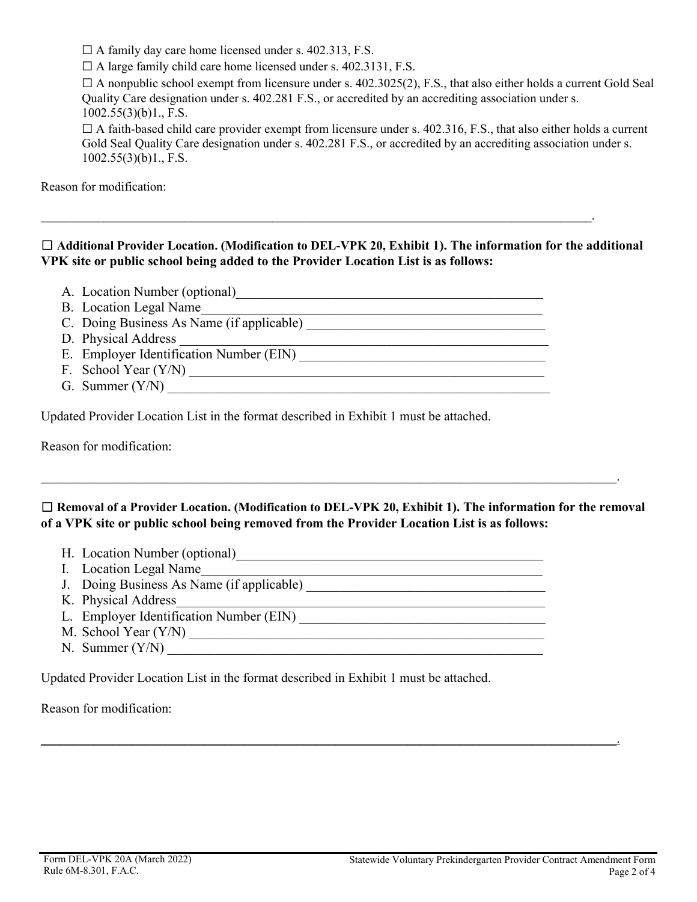☐ A family day care home licensed under s. 402.313, F.S.

 $\Box$  A large family child care home licensed under s. 402.3131, F.S.

 $\Box$  A nonpublic school exempt from licensure under s. 402.3025(2), F.S., that also either holds a current Gold Seal Quality Care designation under s. 402.281 F.S., or accredited by an accrediting association under s. 1002.55(3)(b)1., F.S.

 $\Box$  A faith-based child care provider exempt from licensure under s. 402.316, F.S., that also either holds a current Gold Seal Quality Care designation under s. 402.281 F.S., or accredited by an accrediting association under s.  $1002.55(3)(b)1, F.S.$ 

Reason for modification:

# ☐ **Additional Provider Location. (Modification to DEL-VPK 20, Exhibit 1). The information for the additional VPK site or public school being added to the Provider Location List is as follows:**

 $\_$  , and the contribution of the contribution of the contribution of the contribution of the contribution of  $\mathcal{A}$ 

- A. Location Number (optional)
- B. Location Legal Name
- C. Doing Business As Name (if applicable) \_\_\_\_\_\_\_\_\_\_\_\_\_\_\_\_\_\_\_\_\_\_\_\_\_\_\_\_\_\_\_\_\_\_\_
- D. Physical Address
- E. Employer Identification Number (EIN)
- F. School Year (Y/N) \_\_\_\_\_\_\_\_\_\_\_\_\_\_\_\_\_\_\_\_\_\_\_\_\_\_\_\_\_\_\_\_\_\_\_\_\_\_\_\_\_\_\_\_\_\_\_\_\_\_\_\_
- G. Summer (Y/N) \_\_\_\_\_\_\_\_\_\_\_\_\_\_\_\_\_\_\_\_\_\_\_\_\_\_\_\_\_\_\_\_\_\_\_\_\_\_\_\_\_\_\_\_\_\_\_\_\_\_\_\_\_\_\_\_

Updated Provider Location List in the format described in Exhibit 1 must be attached.

Reason for modification:

# ☐ **Removal of a Provider Location. (Modification to DEL-VPK 20, Exhibit 1). The information for the removal of a VPK site or public school being removed from the Provider Location List is as follows:**

\_\_\_\_\_\_\_\_\_\_\_\_\_\_\_\_\_\_\_\_\_\_\_\_\_\_\_\_\_\_\_\_\_\_\_\_\_\_\_\_\_\_\_\_\_\_\_\_\_\_\_\_\_\_\_\_\_\_\_\_\_\_\_\_\_\_\_\_\_\_\_\_\_\_\_\_\_\_\_\_\_\_\_\_\_\_\_\_.

\_\_\_\_\_\_\_\_\_\_\_\_\_\_\_\_\_\_\_\_\_\_\_\_\_\_\_\_\_\_\_\_\_\_\_\_\_\_\_\_\_\_\_\_\_\_\_\_\_\_\_\_\_\_\_\_\_\_\_\_\_\_\_\_\_\_\_\_\_\_\_\_\_\_\_\_\_\_\_\_\_\_\_\_\_\_\_\_.

- H. Location Number (optional)\_\_\_\_\_\_\_\_\_\_\_\_\_\_\_\_\_\_\_\_\_\_\_\_\_\_\_\_\_\_\_\_\_\_\_\_\_\_\_\_\_\_\_\_\_
- I. Location Legal Name
- J. Doing Business As Name (if applicable) \_\_\_\_\_\_\_\_\_\_\_\_\_\_\_\_\_\_\_\_\_\_\_\_\_\_\_\_\_\_\_\_\_\_\_
- K. Physical Address
- L. Employer Identification Number (EIN) \_\_\_\_\_\_\_\_\_\_\_\_\_\_\_\_\_\_\_\_\_\_\_\_\_\_\_\_\_\_\_\_\_\_\_\_
- M. School Year (Y/N) \_\_\_\_\_\_\_\_\_\_\_\_\_\_\_\_\_\_\_\_\_\_\_\_\_\_\_\_\_\_\_\_\_\_\_\_\_\_\_\_\_\_\_\_\_\_\_\_\_\_\_\_
- $N.$  Summer  $(Y/N)$

Updated Provider Location List in the format described in Exhibit 1 must be attached.

Reason for modification: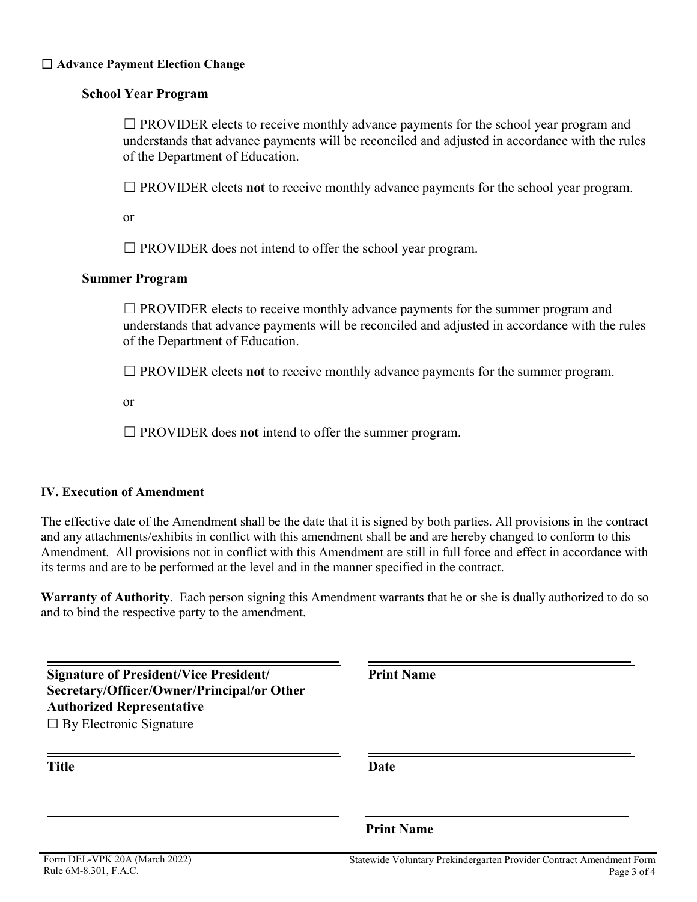#### ☐ **Advance Payment Election Change**

### **School Year Program**

 $\Box$  PROVIDER elects to receive monthly advance payments for the school year program and understands that advance payments will be reconciled and adjusted in accordance with the rules of the Department of Education.

☐ PROVIDER elects **not** to receive monthly advance payments for the school year program.

or

 $\Box$  PROVIDER does not intend to offer the school year program.

#### **Summer Program**

 $\Box$  PROVIDER elects to receive monthly advance payments for the summer program and understands that advance payments will be reconciled and adjusted in accordance with the rules of the Department of Education.

☐ PROVIDER elects **not** to receive monthly advance payments for the summer program.

or

☐ PROVIDER does **not** intend to offer the summer program.

### **IV. Execution of Amendment**

The effective date of the Amendment shall be the date that it is signed by both parties. All provisions in the contract and any attachments/exhibits in conflict with this amendment shall be and are hereby changed to conform to this Amendment. All provisions not in conflict with this Amendment are still in full force and effect in accordance with its terms and are to be performed at the level and in the manner specified in the contract.

**Warranty of Authority**. Each person signing this Amendment warrants that he or she is dually authorized to do so and to bind the respective party to the amendment.

| <b>Signature of President/Vice President/</b><br>Secretary/Officer/Owner/Principal/or Other<br><b>Authorized Representative</b><br>$\Box$ By Electronic Signature | <b>Print Name</b>                                                                   |
|-------------------------------------------------------------------------------------------------------------------------------------------------------------------|-------------------------------------------------------------------------------------|
| <b>Title</b>                                                                                                                                                      | Date                                                                                |
|                                                                                                                                                                   | <b>Print Name</b>                                                                   |
| Form DEL-VPK 20A (March 2022)<br>Rule 6M-8.301, F.A.C.                                                                                                            | Statewide Voluntary Prekindergarten Provider Contract Amendment Form<br>Page 3 of 4 |